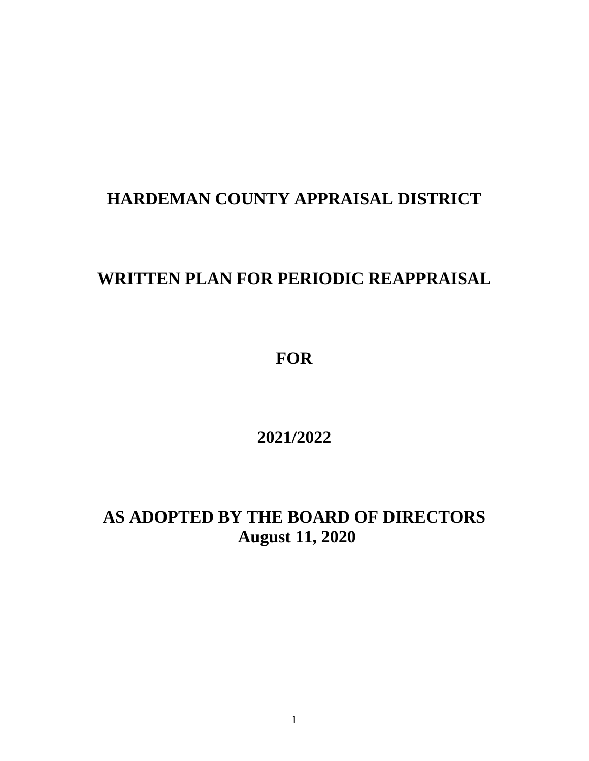## **HARDEMAN COUNTY APPRAISAL DISTRICT**

## **WRITTEN PLAN FOR PERIODIC REAPPRAISAL**

**FOR**

**2021/2022**

**AS ADOPTED BY THE BOARD OF DIRECTORS August 11, 2020**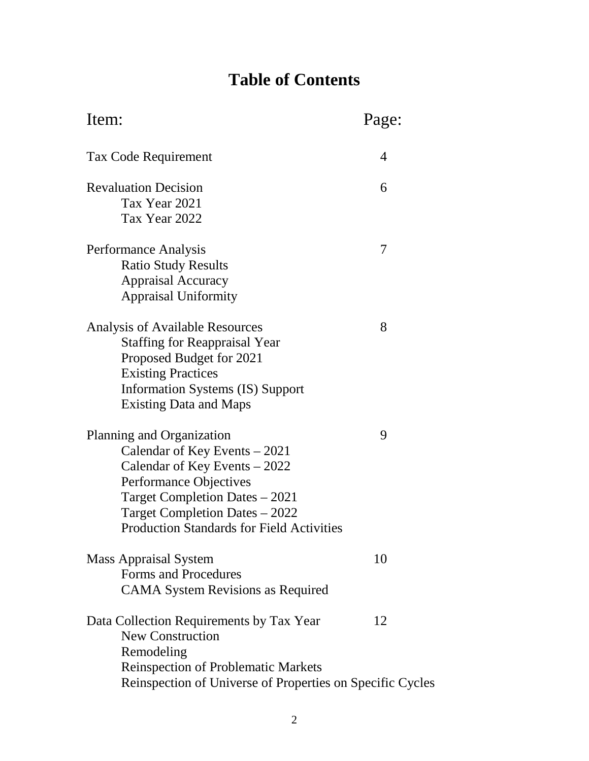# **Table of Contents**

| Page:                                                           |
|-----------------------------------------------------------------|
| 4                                                               |
| 6                                                               |
| 7                                                               |
| 8                                                               |
| 9                                                               |
| 10                                                              |
| 12<br>Reinspection of Universe of Properties on Specific Cycles |
|                                                                 |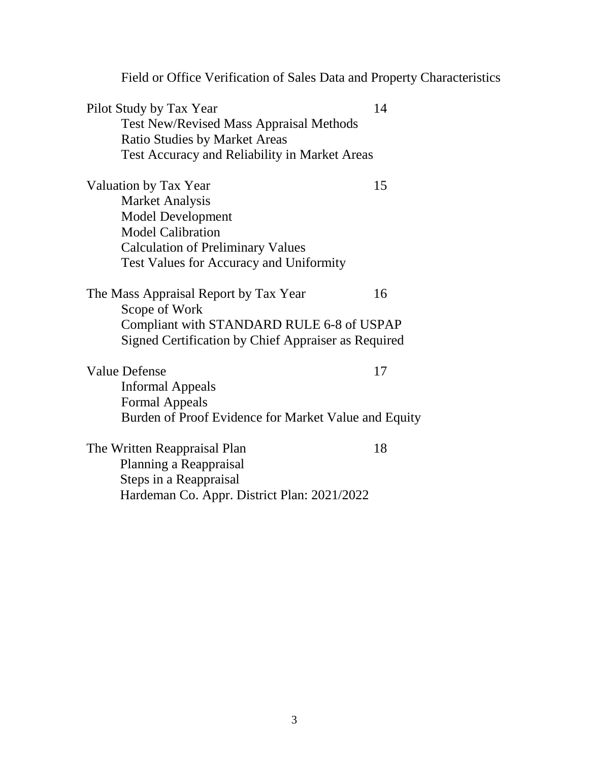|                                                      | Field or Office Verification of Sales Data and Property Characteristics |
|------------------------------------------------------|-------------------------------------------------------------------------|
| Pilot Study by Tax Year                              | 14                                                                      |
| <b>Test New/Revised Mass Appraisal Methods</b>       |                                                                         |
| <b>Ratio Studies by Market Areas</b>                 |                                                                         |
| Test Accuracy and Reliability in Market Areas        |                                                                         |
| Valuation by Tax Year                                | 15                                                                      |
| <b>Market Analysis</b>                               |                                                                         |
| <b>Model Development</b>                             |                                                                         |
| <b>Model Calibration</b>                             |                                                                         |
| <b>Calculation of Preliminary Values</b>             |                                                                         |
| Test Values for Accuracy and Uniformity              |                                                                         |
| The Mass Appraisal Report by Tax Year                | 16                                                                      |
| Scope of Work                                        |                                                                         |
| Compliant with STANDARD RULE 6-8 of USPAP            |                                                                         |
| Signed Certification by Chief Appraiser as Required  |                                                                         |
| <b>Value Defense</b>                                 | 17                                                                      |
| <b>Informal Appeals</b>                              |                                                                         |
| <b>Formal Appeals</b>                                |                                                                         |
| Burden of Proof Evidence for Market Value and Equity |                                                                         |
| The Written Reappraisal Plan                         | 18                                                                      |
| Planning a Reappraisal                               |                                                                         |
| Steps in a Reappraisal                               |                                                                         |
| Hardeman Co. Appr. District Plan: 2021/2022          |                                                                         |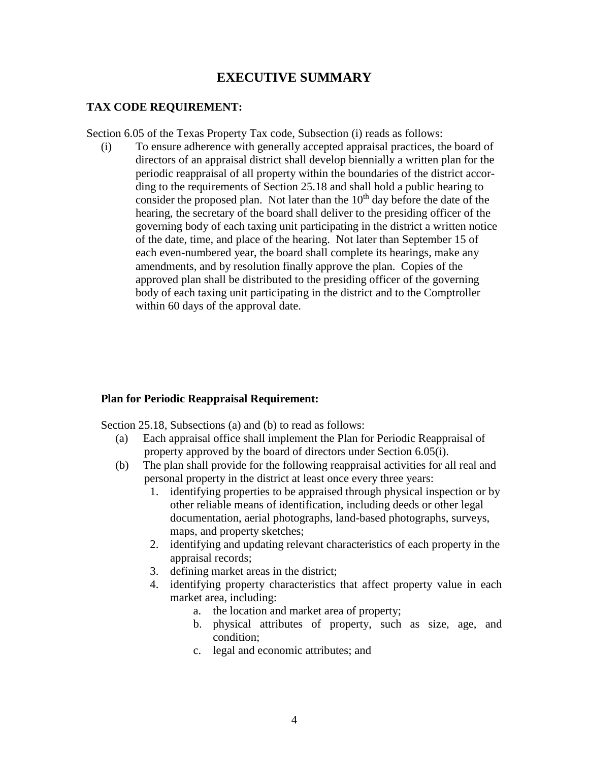### **EXECUTIVE SUMMARY**

#### **TAX CODE REQUIREMENT:**

Section 6.05 of the Texas Property Tax code, Subsection (i) reads as follows:

(i) To ensure adherence with generally accepted appraisal practices, the board of directors of an appraisal district shall develop biennially a written plan for the periodic reappraisal of all property within the boundaries of the district accor ding to the requirements of Section 25.18 and shall hold a public hearing to consider the proposed plan. Not later than the  $10<sup>th</sup>$  day before the date of the hearing, the secretary of the board shall deliver to the presiding officer of the governing body of each taxing unit participating in the district a written notice of the date, time, and place of the hearing. Not later than September 15 of each even-numbered year, the board shall complete its hearings, make any amendments, and by resolution finally approve the plan. Copies of the approved plan shall be distributed to the presiding officer of the governing body of each taxing unit participating in the district and to the Comptroller within 60 days of the approval date.

#### **Plan for Periodic Reappraisal Requirement:**

Section 25.18, Subsections (a) and (b) to read as follows:

- (a) Each appraisal office shall implement the Plan for Periodic Reappraisal of property approved by the board of directors under Section 6.05(i).
- (b) The plan shall provide for the following reappraisal activities for all real and personal property in the district at least once every three years:
	- 1. identifying properties to be appraised through physical inspection or by other reliable means of identification, including deeds or other legal documentation, aerial photographs, land-based photographs, surveys, maps, and property sketches;
	- 2. identifying and updating relevant characteristics of each property in the appraisal records;
	- 3. defining market areas in the district;
	- 4. identifying property characteristics that affect property value in each market area, including:
		- a. the location and market area of property;
		- b. physical attributes of property, such as size, age, and condition;
		- c. legal and economic attributes; and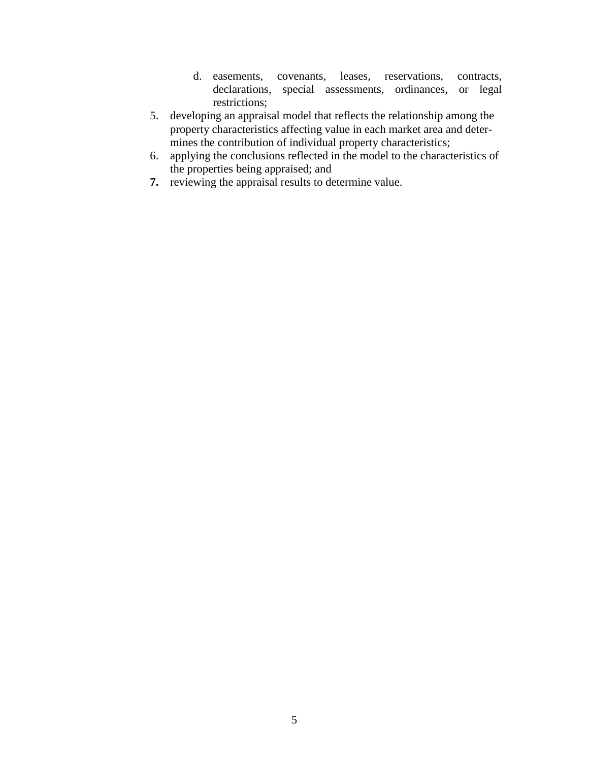- d. easements, covenants, leases, reservations, contracts, declarations, special assessments, ordinances, or legal restrictions;
- 5. developing an appraisal model that reflects the relationship among the property characteristics affecting value in each market area and deter mines the contribution of individual property characteristics;
- 6. applying the conclusions reflected in the model to the characteristics of the properties being appraised; and
- **7.** reviewing the appraisal results to determine value.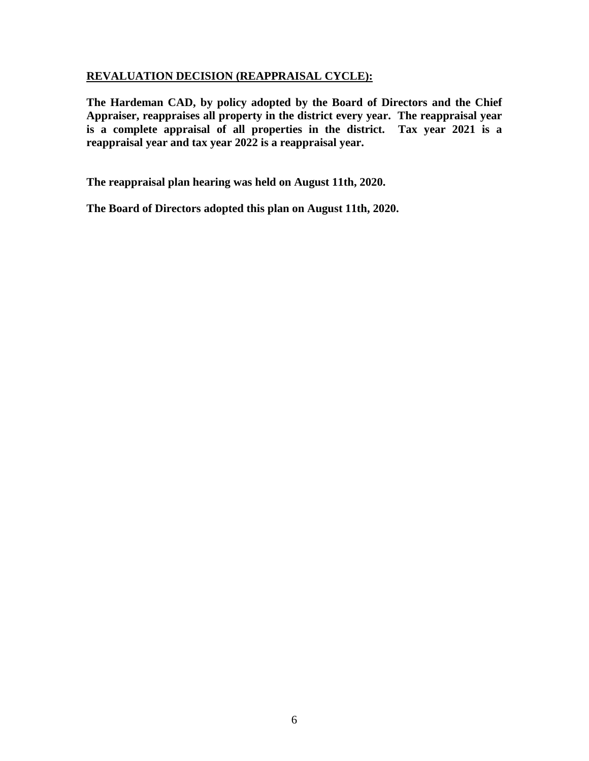#### **REVALUATION DECISION (REAPPRAISAL CYCLE):**

**The Hardeman CAD, by policy adopted by the Board of Directors and the Chief Appraiser, reappraises all property in the district every year. The reappraisal year is a complete appraisal of all properties in the district. Tax year 2021 is a reappraisal year and tax year 2022 is a reappraisal year.**

**The reappraisal plan hearing was held on August 11th, 2020.** 

**The Board of Directors adopted this plan on August 11th, 2020.**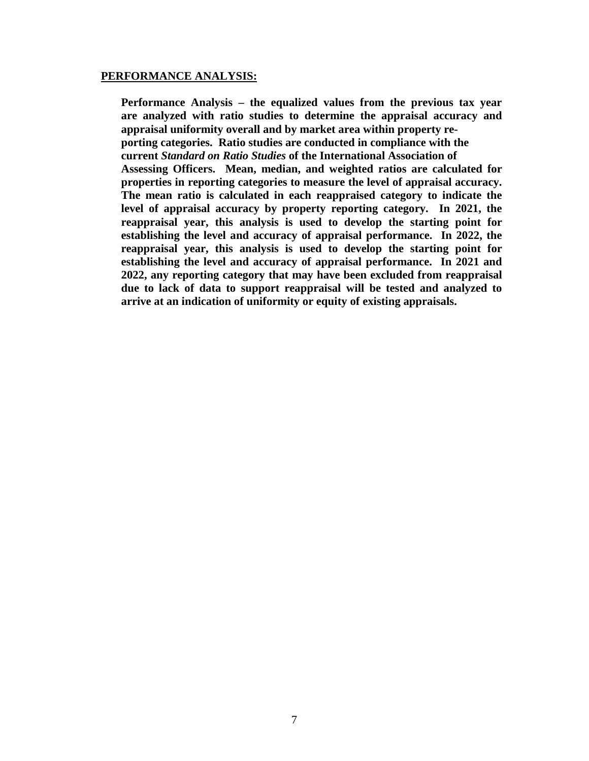#### **PERFORMANCE ANALYSIS:**

**Performance Analysis – the equalized values from the previous tax year are analyzed with ratio studies to determine the appraisal accuracy and appraisal uniformity overall and by market area within property reporting categories. Ratio studies are conducted in compliance with the current** *Standard on Ratio Studies* **of the International Association of Assessing Officers. Mean, median, and weighted ratios are calculated for properties in reporting categories to measure the level of appraisal accuracy. The mean ratio is calculated in each reappraised category to indicate the level of appraisal accuracy by property reporting category. In 2021, the reappraisal year, this analysis is used to develop the starting point for establishing the level and accuracy of appraisal performance. In 2022, the reappraisal year, this analysis is used to develop the starting point for establishing the level and accuracy of appraisal performance. In 2021 and 2022, any reporting category that may have been excluded from reappraisal due to lack of data to support reappraisal will be tested and analyzed to arrive at an indication of uniformity or equity of existing appraisals.**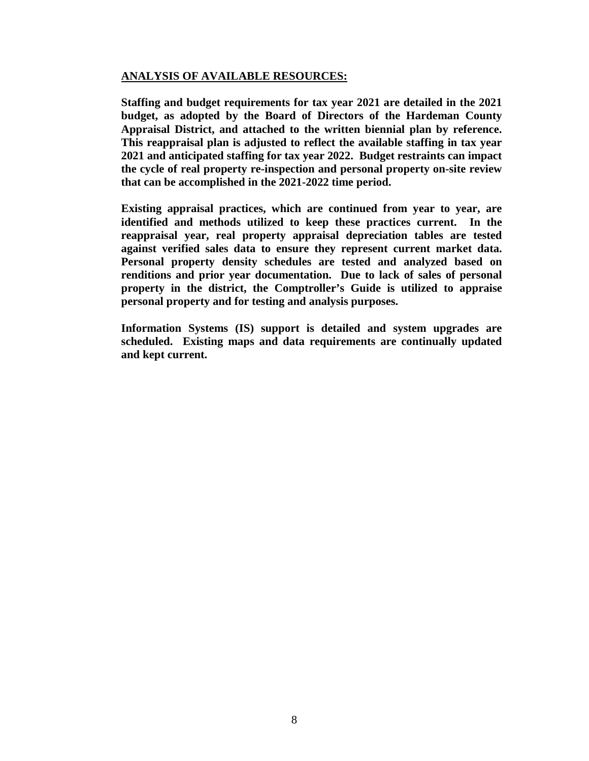#### **ANALYSIS OF AVAILABLE RESOURCES:**

**Staffing and budget requirements for tax year 2021 are detailed in the 2021 budget, as adopted by the Board of Directors of the Hardeman County Appraisal District, and attached to the written biennial plan by reference. This reappraisal plan is adjusted to reflect the available staffing in tax year 2021 and anticipated staffing for tax year 2022. Budget restraints can impact the cycle of real property re-inspection and personal property on-site review that can be accomplished in the 2021-2022 time period.** 

**Existing appraisal practices, which are continued from year to year, are identified and methods utilized to keep these practices current. In the reappraisal year, real property appraisal depreciation tables are tested against verified sales data to ensure they represent current market data. Personal property density schedules are tested and analyzed based on renditions and prior year documentation. Due to lack of sales of personal property in the district, the Comptroller's Guide is utilized to appraise personal property and for testing and analysis purposes.**

**Information Systems (IS) support is detailed and system upgrades are scheduled. Existing maps and data requirements are continually updated and kept current.**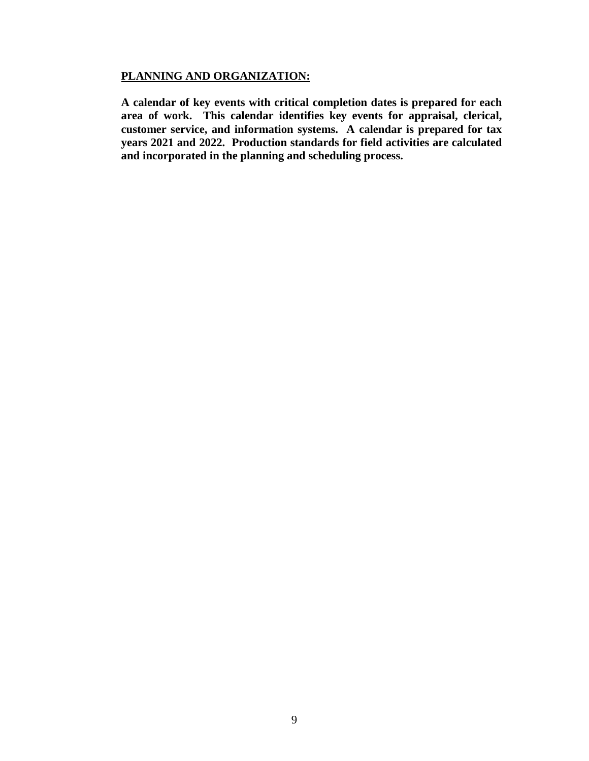#### **PLANNING AND ORGANIZATION:**

**A calendar of key events with critical completion dates is prepared for each area of work. This calendar identifies key events for appraisal, clerical, customer service, and information systems. A calendar is prepared for tax years 2021 and 2022. Production standards for field activities are calculated and incorporated in the planning and scheduling process.**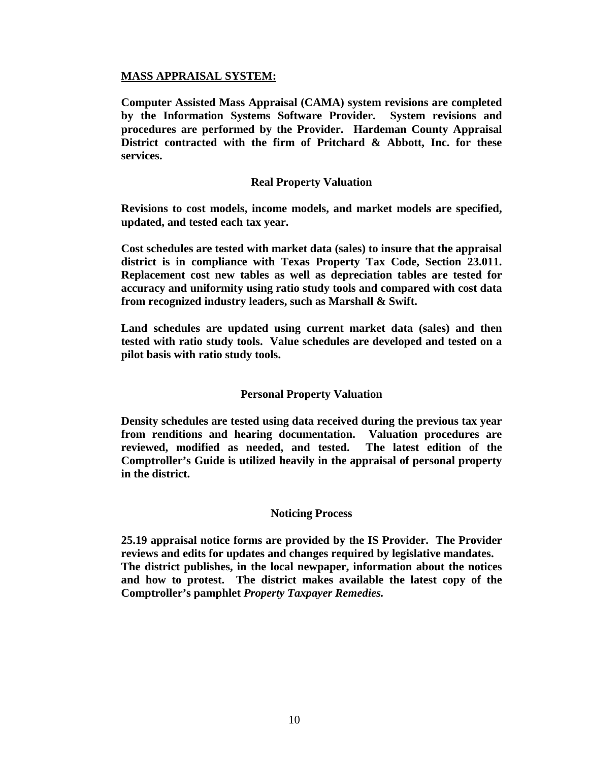#### **MASS APPRAISAL SYSTEM:**

**Computer Assisted Mass Appraisal (CAMA) system revisions are completed by the Information Systems Software Provider. System revisions and procedures are performed by the Provider. Hardeman County Appraisal District contracted with the firm of Pritchard & Abbott, Inc. for these services.** 

#### **Real Property Valuation**

**Revisions to cost models, income models, and market models are specified, updated, and tested each tax year.**

**Cost schedules are tested with market data (sales) to insure that the appraisal district is in compliance with Texas Property Tax Code, Section 23.011. Replacement cost new tables as well as depreciation tables are tested for accuracy and uniformity using ratio study tools and compared with cost data from recognized industry leaders, such as Marshall & Swift.**

**Land schedules are updated using current market data (sales) and then tested with ratio study tools. Value schedules are developed and tested on a pilot basis with ratio study tools.**

#### **Personal Property Valuation**

**Density schedules are tested using data received during the previous tax year from renditions and hearing documentation. Valuation procedures are reviewed, modified as needed, and tested. The latest edition of the Comptroller's Guide is utilized heavily in the appraisal of personal property in the district.**

#### **Noticing Process**

**25.19 appraisal notice forms are provided by the IS Provider. The Provider reviews and edits for updates and changes required by legislative mandates. The district publishes, in the local newpaper, information about the notices and how to protest. The district makes available the latest copy of the Comptroller's pamphlet** *Property Taxpayer Remedies.*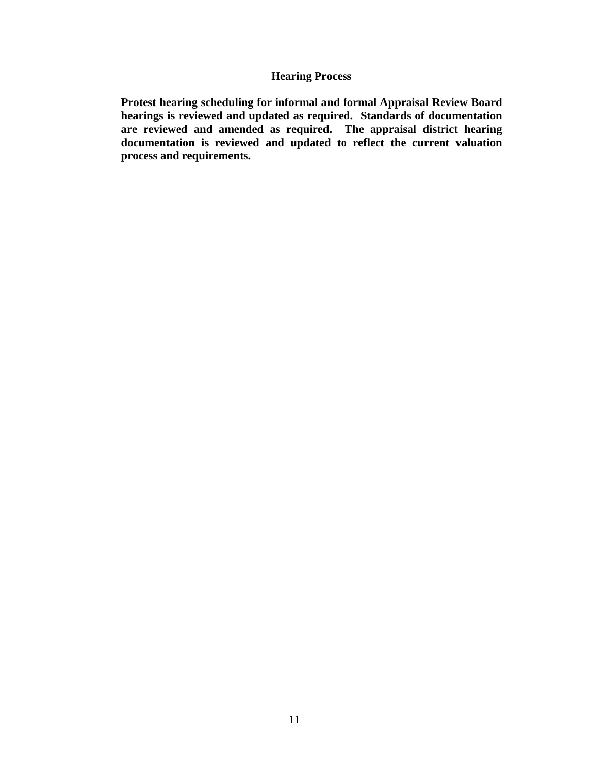#### **Hearing Process**

**Protest hearing scheduling for informal and formal Appraisal Review Board hearings is reviewed and updated as required. Standards of documentation are reviewed and amended as required. The appraisal district hearing documentation is reviewed and updated to reflect the current valuation process and requirements.**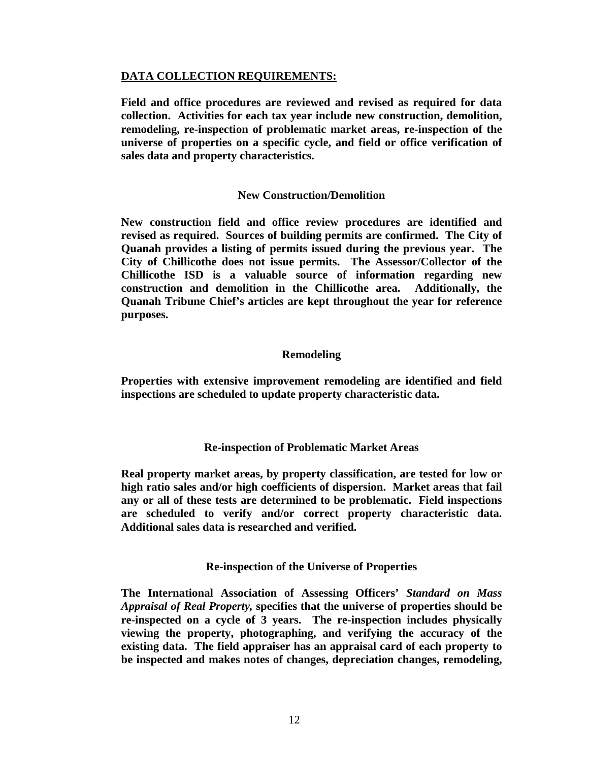#### **DATA COLLECTION REQUIREMENTS:**

**Field and office procedures are reviewed and revised as required for data collection. Activities for each tax year include new construction, demolition, remodeling, re-inspection of problematic market areas, re-inspection of the universe of properties on a specific cycle, and field or office verification of sales data and property characteristics.**

#### **New Construction/Demolition**

**New construction field and office review procedures are identified and revised as required. Sources of building permits are confirmed. The City of Quanah provides a listing of permits issued during the previous year. The City of Chillicothe does not issue permits. The Assessor/Collector of the Chillicothe ISD is a valuable source of information regarding new construction and demolition in the Chillicothe area. Additionally, the Quanah Tribune Chief's articles are kept throughout the year for reference purposes.** 

#### **Remodeling**

**Properties with extensive improvement remodeling are identified and field inspections are scheduled to update property characteristic data.** 

#### **Re-inspection of Problematic Market Areas**

**Real property market areas, by property classification, are tested for low or high ratio sales and/or high coefficients of dispersion. Market areas that fail any or all of these tests are determined to be problematic. Field inspections are scheduled to verify and/or correct property characteristic data. Additional sales data is researched and verified.** 

#### **Re-inspection of the Universe of Properties**

**The International Association of Assessing Officers'** *Standard on Mass Appraisal of Real Property,* **specifies that the universe of properties should be re-inspected on a cycle of 3 years. The re-inspection includes physically viewing the property, photographing, and verifying the accuracy of the existing data. The field appraiser has an appraisal card of each property to be inspected and makes notes of changes, depreciation changes, remodeling,**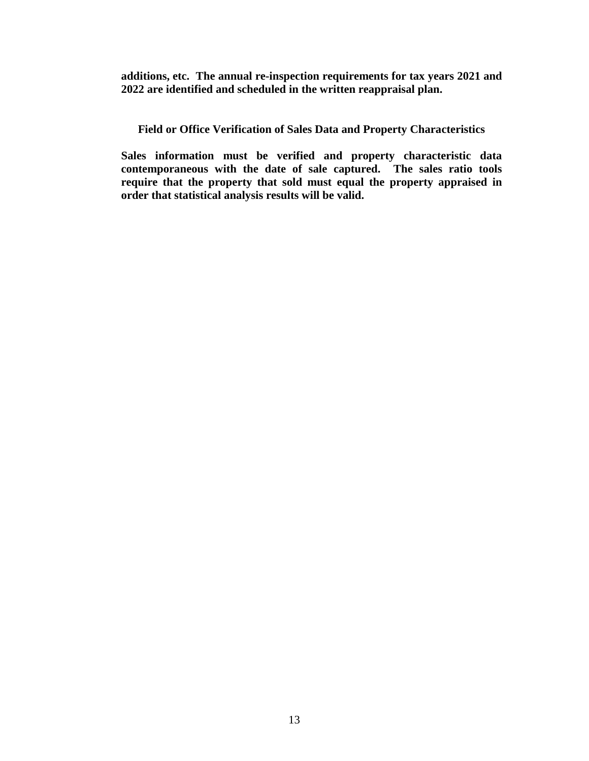**additions, etc. The annual re-inspection requirements for tax years 2021 and 2022 are identified and scheduled in the written reappraisal plan.**

**Field or Office Verification of Sales Data and Property Characteristics**

**Sales information must be verified and property characteristic data contemporaneous with the date of sale captured. The sales ratio tools require that the property that sold must equal the property appraised in order that statistical analysis results will be valid.**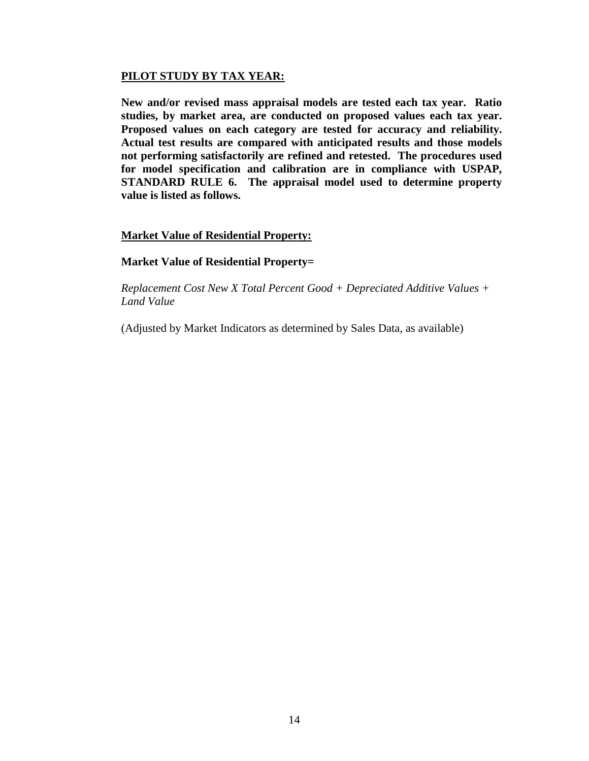#### **PILOT STUDY BY TAX YEAR:**

**New and/or revised mass appraisal models are tested each tax year. Ratio studies, by market area, are conducted on proposed values each tax year. Proposed values on each category are tested for accuracy and reliability. Actual test results are compared with anticipated results and those models not performing satisfactorily are refined and retested. The procedures used for model specification and calibration are in compliance with USPAP, STANDARD RULE 6. The appraisal model used to determine property value is listed as follows.**

#### **Market Value of Residential Property:**

#### **Market Value of Residential Property=**

*Replacement Cost New X Total Percent Good + Depreciated Additive Values + Land Value*

(Adjusted by Market Indicators as determined by Sales Data, as available)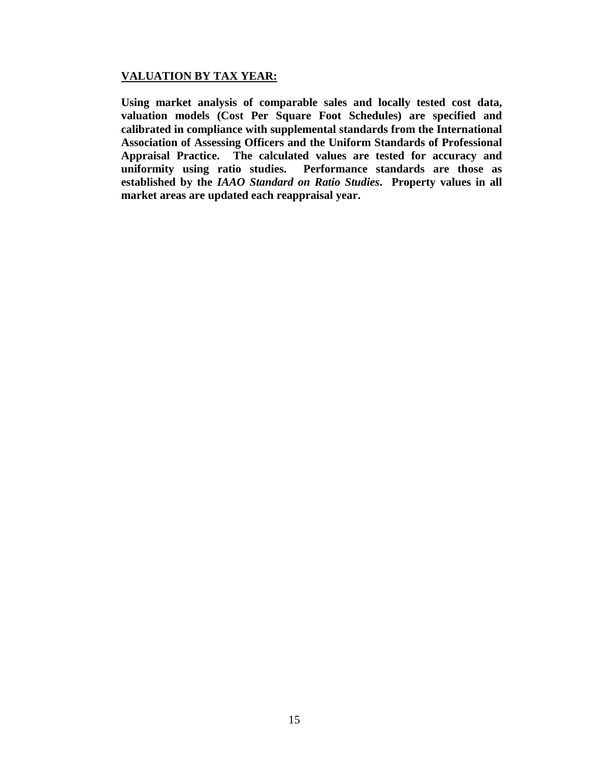#### **VALUATION BY TAX YEAR:**

**Using market analysis of comparable sales and locally tested cost data, valuation models (Cost Per Square Foot Schedules) are specified and calibrated in compliance with supplemental standards from the International Association of Assessing Officers and the Uniform Standards of Professional Appraisal Practice. The calculated values are tested for accuracy and uniformity using ratio studies. Performance standards are those as established by the** *IAAO Standard on Ratio Studies***. Property values in all market areas are updated each reappraisal year.**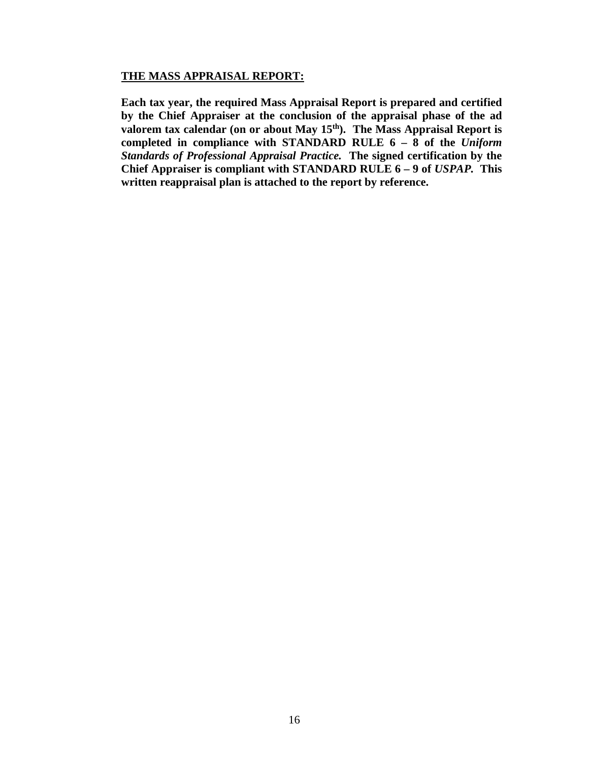#### **THE MASS APPRAISAL REPORT:**

**Each tax year, the required Mass Appraisal Report is prepared and certified by the Chief Appraiser at the conclusion of the appraisal phase of the ad**  valorem tax calendar (on or about May 15<sup>th</sup>). The Mass Appraisal Report is **completed in compliance with STANDARD RULE 6 – 8 of the** *Uniform Standards of Professional Appraisal Practice.* **The signed certification by the Chief Appraiser is compliant with STANDARD RULE 6 – 9 of** *USPAP.* **This written reappraisal plan is attached to the report by reference.**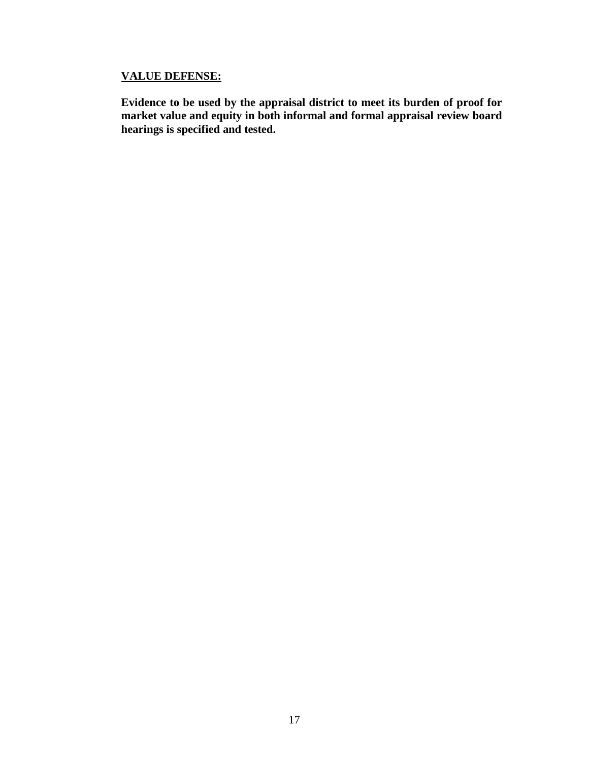#### **VALUE DEFENSE:**

**Evidence to be used by the appraisal district to meet its burden of proof for market value and equity in both informal and formal appraisal review board hearings is specified and tested.**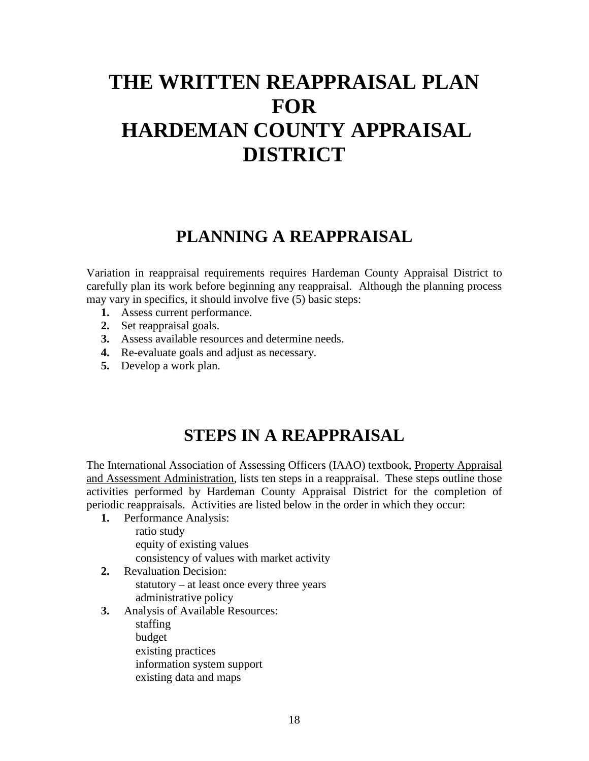# **THE WRITTEN REAPPRAISAL PLAN FOR HARDEMAN COUNTY APPRAISAL DISTRICT**

## **PLANNING A REAPPRAISAL**

Variation in reappraisal requirements requires Hardeman County Appraisal District to carefully plan its work before beginning any reappraisal. Although the planning process may vary in specifics, it should involve five (5) basic steps:

- **1.** Assess current performance.
- **2.** Set reappraisal goals.
- **3.** Assess available resources and determine needs.
- **4.** Re-evaluate goals and adjust as necessary.
- **5.** Develop a work plan.

### **STEPS IN A REAPPRAISAL**

The International Association of Assessing Officers (IAAO) textbook, Property Appraisal and Assessment Administration, lists ten steps in a reappraisal. These steps outline those activities performed by Hardeman County Appraisal District for the completion of periodic reappraisals. Activities are listed below in the order in which they occur:

- **1.** Performance Analysis: ratio study equity of existing values consistency of values with market activity
- **2.** Revaluation Decision: statutory – at least once every three years administrative policy

#### **3.** Analysis of Available Resources:

staffing

budget

existing practices

information system support

existing data and maps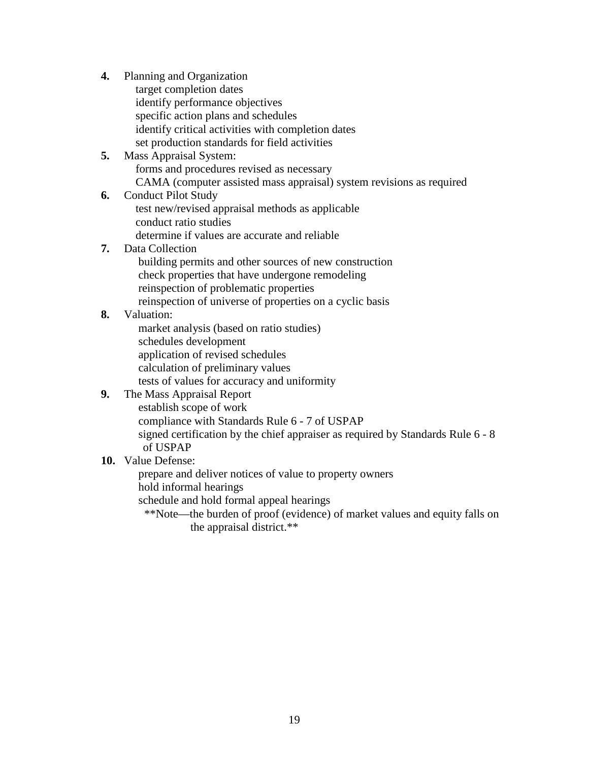**4.** Planning and Organization target completion dates identify performance objectives specific action plans and schedules identify critical activities with completion dates set production standards for field activities **5.** Mass Appraisal System: forms and procedures revised as necessary CAMA (computer assisted mass appraisal) system revisions as required **6.** Conduct Pilot Study test new/revised appraisal methods as applicable conduct ratio studies determine if values are accurate and reliable **7.** Data Collection building permits and other sources of new construction check properties that have undergone remodeling reinspection of problematic properties reinspection of universe of properties on a cyclic basis **8.** Valuation: market analysis (based on ratio studies) schedules development application of revised schedules calculation of preliminary values tests of values for accuracy and uniformity **9.** The Mass Appraisal Report establish scope of work compliance with Standards Rule 6 - 7 of USPAP signed certification by the chief appraiser as required by Standards Rule 6 - 8 of USPAP **10.** Value Defense: prepare and deliver notices of value to property owners hold informal hearings schedule and hold formal appeal hearings

> \*\*Note—the burden of proof (evidence) of market values and equity falls on the appraisal district.\*\*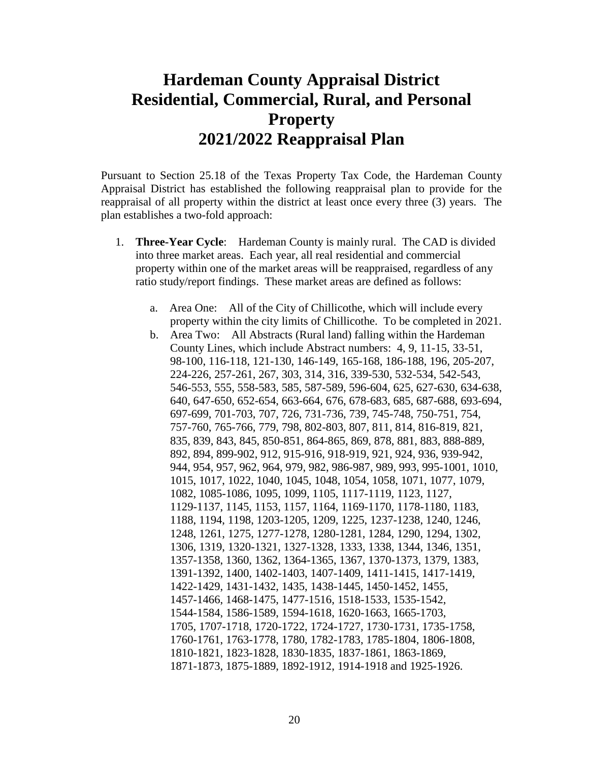## **Hardeman County Appraisal District Residential, Commercial, Rural, and Personal Property 2021/2022 Reappraisal Plan**

Pursuant to Section 25.18 of the Texas Property Tax Code, the Hardeman County Appraisal District has established the following reappraisal plan to provide for the reappraisal of all property within the district at least once every three (3) years. The plan establishes a two-fold approach:

- 1. **Three-Year Cycle**: Hardeman County is mainly rural. The CAD is divided into three market areas. Each year, all real residential and commercial property within one of the market areas will be reappraised, regardless of any ratio study/report findings. These market areas are defined as follows:
	- a. Area One: All of the City of Chillicothe, which will include every property within the city limits of Chillicothe. To be completed in 2021.
	- b. Area Two: All Abstracts (Rural land) falling within the Hardeman County Lines, which include Abstract numbers: 4, 9, 11-15, 33-51, 98-100, 116-118, 121-130, 146-149, 165-168, 186-188, 196, 205-207, 224-226, 257-261, 267, 303, 314, 316, 339-530, 532-534, 542-543, 546-553, 555, 558-583, 585, 587-589, 596-604, 625, 627-630, 634-638, 640, 647-650, 652-654, 663-664, 676, 678-683, 685, 687-688, 693-694, 697-699, 701-703, 707, 726, 731-736, 739, 745-748, 750-751, 754, 757-760, 765-766, 779, 798, 802-803, 807, 811, 814, 816-819, 821, 835, 839, 843, 845, 850-851, 864-865, 869, 878, 881, 883, 888-889, 892, 894, 899-902, 912, 915-916, 918-919, 921, 924, 936, 939-942, 944, 954, 957, 962, 964, 979, 982, 986-987, 989, 993, 995-1001, 1010, 1015, 1017, 1022, 1040, 1045, 1048, 1054, 1058, 1071, 1077, 1079, 1082, 1085-1086, 1095, 1099, 1105, 1117-1119, 1123, 1127, 1129-1137, 1145, 1153, 1157, 1164, 1169-1170, 1178-1180, 1183, 1188, 1194, 1198, 1203-1205, 1209, 1225, 1237-1238, 1240, 1246, 1248, 1261, 1275, 1277-1278, 1280-1281, 1284, 1290, 1294, 1302, 1306, 1319, 1320-1321, 1327-1328, 1333, 1338, 1344, 1346, 1351, 1357-1358, 1360, 1362, 1364-1365, 1367, 1370-1373, 1379, 1383, 1391-1392, 1400, 1402-1403, 1407-1409, 1411-1415, 1417-1419, 1422-1429, 1431-1432, 1435, 1438-1445, 1450-1452, 1455, 1457-1466, 1468-1475, 1477-1516, 1518-1533, 1535-1542, 1544-1584, 1586-1589, 1594-1618, 1620-1663, 1665-1703, 1705, 1707-1718, 1720-1722, 1724-1727, 1730-1731, 1735-1758, 1760-1761, 1763-1778, 1780, 1782-1783, 1785-1804, 1806-1808, 1810-1821, 1823-1828, 1830-1835, 1837-1861, 1863-1869, 1871-1873, 1875-1889, 1892-1912, 1914-1918 and 1925-1926.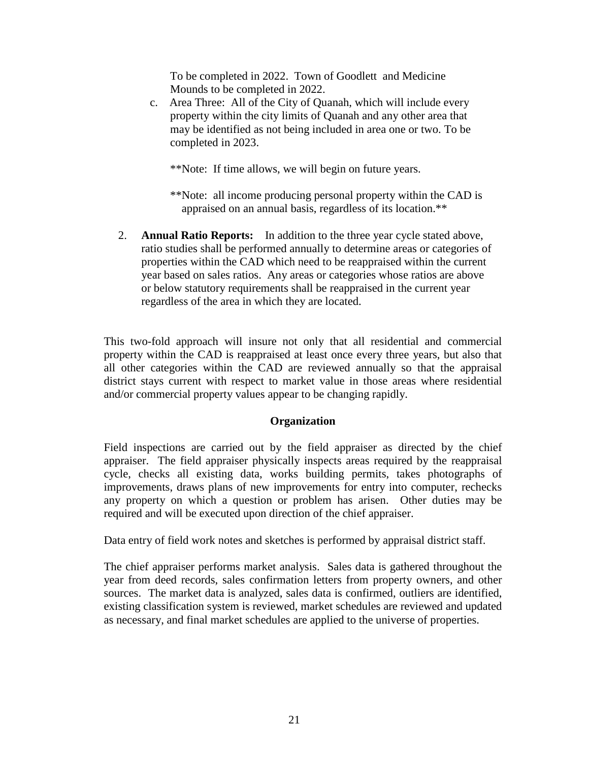To be completed in 2022. Town of Goodlett and Medicine Mounds to be completed in 2022.

 c. Area Three: All of the City of Quanah, which will include every property within the city limits of Quanah and any other area that may be identified as not being included in area one or two. To be completed in 2023.

\*\*Note: If time allows, we will begin on future years.

- \*\*Note: all income producing personal property within the CAD is appraised on an annual basis, regardless of its location.\*\*
- 2. **Annual Ratio Reports:** In addition to the three year cycle stated above, ratio studies shall be performed annually to determine areas or categories of properties within the CAD which need to be reappraised within the current year based on sales ratios. Any areas or categories whose ratios are above or below statutory requirements shall be reappraised in the current year regardless of the area in which they are located.

This two-fold approach will insure not only that all residential and commercial property within the CAD is reappraised at least once every three years, but also that all other categories within the CAD are reviewed annually so that the appraisal district stays current with respect to market value in those areas where residential and/or commercial property values appear to be changing rapidly.

#### **Organization**

Field inspections are carried out by the field appraiser as directed by the chief appraiser. The field appraiser physically inspects areas required by the reappraisal cycle, checks all existing data, works building permits, takes photographs of improvements, draws plans of new improvements for entry into computer, rechecks any property on which a question or problem has arisen. Other duties may be required and will be executed upon direction of the chief appraiser.

Data entry of field work notes and sketches is performed by appraisal district staff.

The chief appraiser performs market analysis. Sales data is gathered throughout the year from deed records, sales confirmation letters from property owners, and other sources. The market data is analyzed, sales data is confirmed, outliers are identified, existing classification system is reviewed, market schedules are reviewed and updated as necessary, and final market schedules are applied to the universe of properties.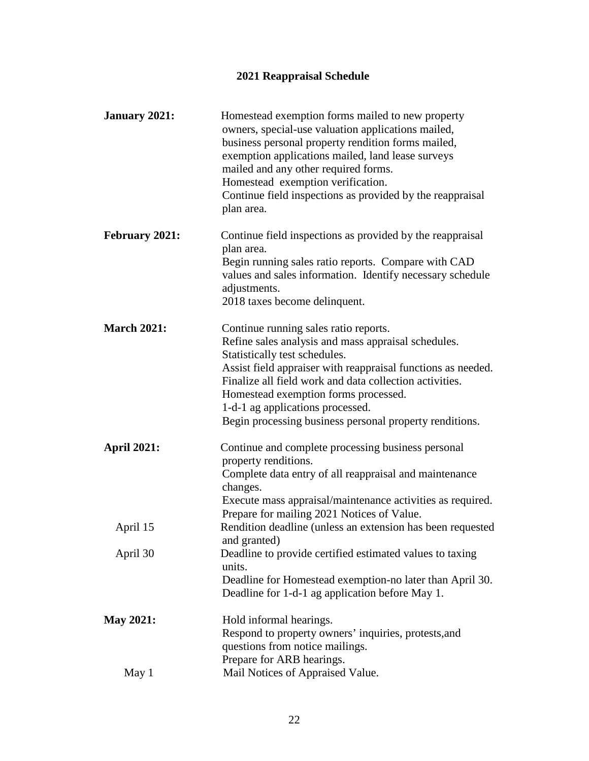### **2021 Reappraisal Schedule**

| <b>January 2021:</b>  | Homestead exemption forms mailed to new property<br>owners, special-use valuation applications mailed,<br>business personal property rendition forms mailed,<br>exemption applications mailed, land lease surveys<br>mailed and any other required forms.<br>Homestead exemption verification.<br>Continue field inspections as provided by the reappraisal<br>plan area.                       |
|-----------------------|-------------------------------------------------------------------------------------------------------------------------------------------------------------------------------------------------------------------------------------------------------------------------------------------------------------------------------------------------------------------------------------------------|
| <b>February 2021:</b> | Continue field inspections as provided by the reappraisal<br>plan area.<br>Begin running sales ratio reports. Compare with CAD<br>values and sales information. Identify necessary schedule<br>adjustments.<br>2018 taxes become delinquent.                                                                                                                                                    |
| <b>March 2021:</b>    | Continue running sales ratio reports.<br>Refine sales analysis and mass appraisal schedules.<br>Statistically test schedules.<br>Assist field appraiser with reappraisal functions as needed.<br>Finalize all field work and data collection activities.<br>Homestead exemption forms processed.<br>1-d-1 ag applications processed.<br>Begin processing business personal property renditions. |
| <b>April 2021:</b>    | Continue and complete processing business personal<br>property renditions.<br>Complete data entry of all reappraisal and maintenance<br>changes.<br>Execute mass appraisal/maintenance activities as required.<br>Prepare for mailing 2021 Notices of Value.                                                                                                                                    |
| April 15              | Rendition deadline (unless an extension has been requested<br>and granted)                                                                                                                                                                                                                                                                                                                      |
| April 30              | Deadline to provide certified estimated values to taxing<br>units.<br>Deadline for Homestead exemption-no later than April 30.<br>Deadline for 1-d-1 ag application before May 1.                                                                                                                                                                                                               |
| <b>May 2021:</b>      | Hold informal hearings.<br>Respond to property owners' inquiries, protests, and<br>questions from notice mailings.<br>Prepare for ARB hearings.                                                                                                                                                                                                                                                 |
| May 1                 | Mail Notices of Appraised Value.                                                                                                                                                                                                                                                                                                                                                                |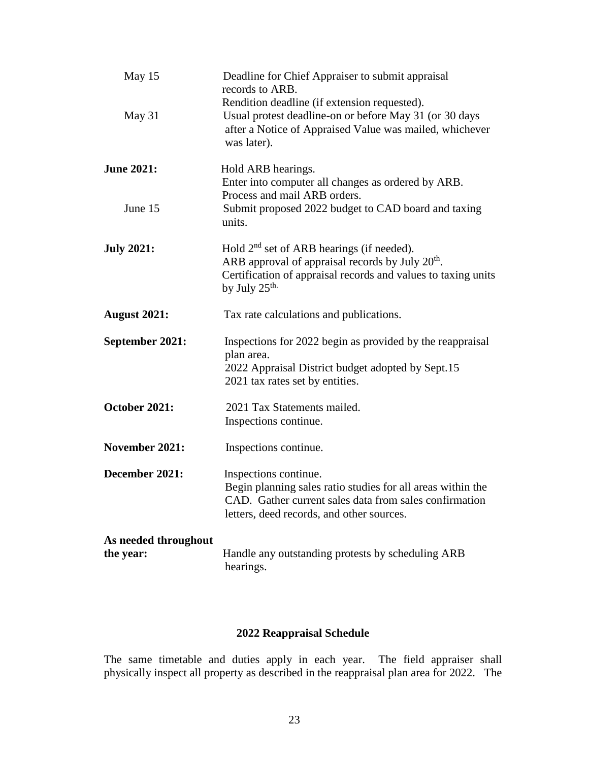| May 15                            | Deadline for Chief Appraiser to submit appraisal<br>records to ARB.                                                                                                                                                  |
|-----------------------------------|----------------------------------------------------------------------------------------------------------------------------------------------------------------------------------------------------------------------|
| May 31                            | Rendition deadline (if extension requested).<br>Usual protest deadline-on or before May 31 (or 30 days<br>after a Notice of Appraised Value was mailed, whichever<br>was later).                                     |
| <b>June 2021:</b>                 | Hold ARB hearings.<br>Enter into computer all changes as ordered by ARB.<br>Process and mail ARB orders.                                                                                                             |
| June 15                           | Submit proposed 2022 budget to CAD board and taxing<br>units.                                                                                                                                                        |
| <b>July 2021:</b>                 | Hold 2 <sup>nd</sup> set of ARB hearings (if needed).<br>ARB approval of appraisal records by July 20 <sup>th</sup> .<br>Certification of appraisal records and values to taxing units<br>by July $25^{\text{th}}$ . |
| <b>August 2021:</b>               | Tax rate calculations and publications.                                                                                                                                                                              |
| September 2021:                   | Inspections for 2022 begin as provided by the reappraisal<br>plan area.<br>2022 Appraisal District budget adopted by Sept.15<br>2021 tax rates set by entities.                                                      |
| October 2021:                     | 2021 Tax Statements mailed.<br>Inspections continue.                                                                                                                                                                 |
| November 2021:                    | Inspections continue.                                                                                                                                                                                                |
| December 2021:                    | Inspections continue.<br>Begin planning sales ratio studies for all areas within the<br>CAD. Gather current sales data from sales confirmation<br>letters, deed records, and other sources.                          |
| As needed throughout<br>the year: | Handle any outstanding protests by scheduling ARB<br>hearings.                                                                                                                                                       |

#### **2022 Reappraisal Schedule**

The same timetable and duties apply in each year. The field appraiser shall physically inspect all property as described in the reappraisal plan area for 2022. The